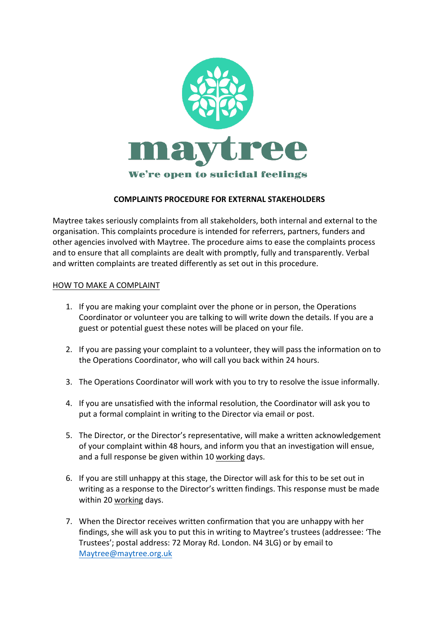

## **COMPLAINTS PROCEDURE FOR EXTERNAL STAKEHOLDERS**

Maytree takes seriously complaints from all stakeholders, both internal and external to the organisation. This complaints procedure is intended for referrers, partners, funders and other agencies involved with Maytree. The procedure aims to ease the complaints process and to ensure that all complaints are dealt with promptly, fully and transparently. Verbal and written complaints are treated differently as set out in this procedure.

## HOW TO MAKE A COMPLAINT

- 1. If you are making your complaint over the phone or in person, the Operations Coordinator or volunteer you are talking to will write down the details. If you are a guest or potential guest these notes will be placed on your file.
- 2. If you are passing your complaint to a volunteer, they will pass the information on to the Operations Coordinator, who will call you back within 24 hours.
- 3. The Operations Coordinator will work with you to try to resolve the issue informally.
- 4. If you are unsatisfied with the informal resolution, the Coordinator will ask you to put a formal complaint in writing to the Director via email or post.
- 5. The Director, or the Director's representative, will make a written acknowledgement of your complaint within 48 hours, and inform you that an investigation will ensue, and a full response be given within 10 working days.
- 6. If you are still unhappy at this stage, the Director will ask for this to be set out in writing as a response to the Director's written findings. This response must be made within 20 working days.
- 7. When the Director receives written confirmation that you are unhappy with her findings, she will ask you to put this in writing to Maytree's trustees (addressee: 'The Trustees'; postal address: 72 Moray Rd. London. N4 3LG) or by email to Maytree@maytree.org.uk